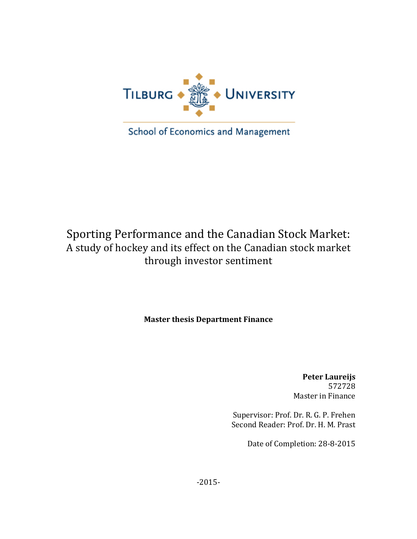

School of Economics and Management

# Sporting Performance and the Canadian Stock Market: A study of hockey and its effect on the Canadian stock market through investor sentiment

**Master thesis Department Finance** 

**Peter Laureijs** 572728 Master in Finance

Supervisor: Prof. Dr. R. G. P. Frehen Second Reader: Prof. Dr. H. M. Prast

Date of Completion: 28-8-2015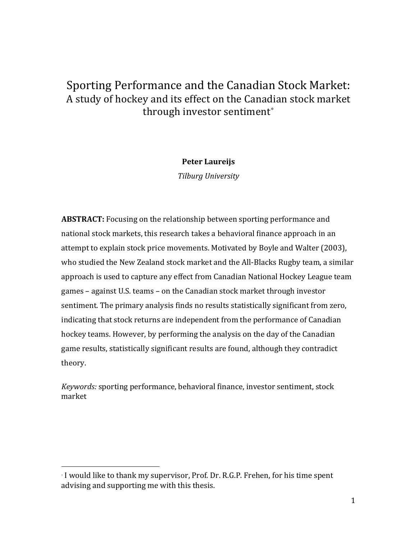## Sporting Performance and the Canadian Stock Market: A study of hockey and its effect on the Canadian stock market through investor sentiment<sup>\*</sup>

## **Peter Laureijs**

*Tilburg University*

**ABSTRACT:** Focusing on the relationship between sporting performance and national stock markets, this research takes a behavioral finance approach in an attempt to explain stock price movements. Motivated by Boyle and Walter (2003), who studied the New Zealand stock market and the All-Blacks Rugby team, a similar approach is used to capture any effect from Canadian National Hockey League team games – against U.S. teams – on the Canadian stock market through investor sentiment. The primary analysis finds no results statistically significant from zero, indicating that stock returns are independent from the performance of Canadian hockey teams. However, by performing the analysis on the day of the Canadian game results, statistically significant results are found, although they contradict theory.

*Keywords:* sporting performance, behavioral finance, investor sentiment, stock market

<sup>∗</sup> I would like to thank my supervisor, Prof. Dr. R.G.P. Frehen, for his time spent advising and supporting me with this thesis.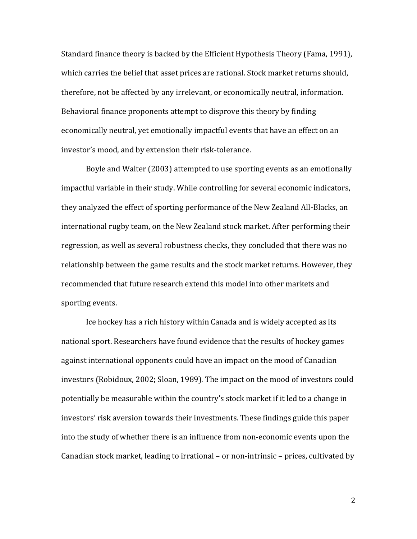Standard finance theory is backed by the Efficient Hypothesis Theory (Fama, 1991), which carries the belief that asset prices are rational. Stock market returns should, therefore, not be affected by any irrelevant, or economically neutral, information. Behavioral finance proponents attempt to disprove this theory by finding economically neutral, yet emotionally impactful events that have an effect on an investor's mood, and by extension their risk-tolerance.

Boyle and Walter (2003) attempted to use sporting events as an emotionally impactful variable in their study. While controlling for several economic indicators, they analyzed the effect of sporting performance of the New Zealand All-Blacks, an international rugby team, on the New Zealand stock market. After performing their regression, as well as several robustness checks, they concluded that there was no relationship between the game results and the stock market returns. However, they recommended that future research extend this model into other markets and sporting events.

Ice hockey has a rich history within Canada and is widely accepted as its national sport. Researchers have found evidence that the results of hockey games against international opponents could have an impact on the mood of Canadian investors (Robidoux, 2002; Sloan, 1989). The impact on the mood of investors could potentially be measurable within the country's stock market if it led to a change in investors' risk aversion towards their investments. These findings guide this paper into the study of whether there is an influence from non-economic events upon the Canadian stock market, leading to irrational – or non-intrinsic – prices, cultivated by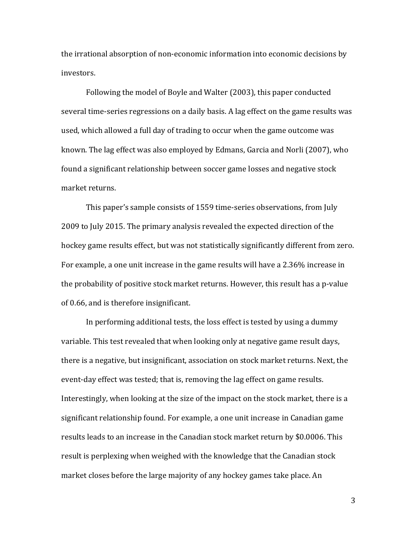the irrational absorption of non-economic information into economic decisions by investors.

Following the model of Boyle and Walter (2003), this paper conducted several time-series regressions on a daily basis. A lag effect on the game results was used, which allowed a full day of trading to occur when the game outcome was known. The lag effect was also employed by Edmans, Garcia and Norli (2007), who found a significant relationship between soccer game losses and negative stock market returns.

This paper's sample consists of 1559 time-series observations, from July 2009 to July 2015. The primary analysis revealed the expected direction of the hockey game results effect, but was not statistically significantly different from zero. For example, a one unit increase in the game results will have a 2.36% increase in the probability of positive stock market returns. However, this result has a p-value of 0.66, and is therefore insignificant.

In performing additional tests, the loss effect is tested by using a dummy variable. This test revealed that when looking only at negative game result days, there is a negative, but insignificant, association on stock market returns. Next, the event-day effect was tested; that is, removing the lag effect on game results. Interestingly, when looking at the size of the impact on the stock market, there is a significant relationship found. For example, a one unit increase in Canadian game results leads to an increase in the Canadian stock market return by \$0.0006. This result is perplexing when weighed with the knowledge that the Canadian stock market closes before the large majority of any hockey games take place. An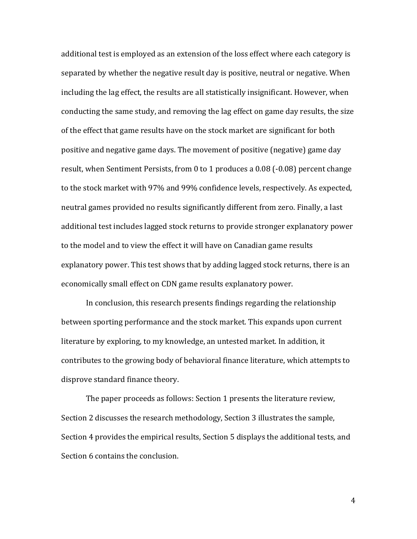additional test is employed as an extension of the loss effect where each category is separated by whether the negative result day is positive, neutral or negative. When including the lag effect, the results are all statistically insignificant. However, when conducting the same study, and removing the lag effect on game day results, the size of the effect that game results have on the stock market are significant for both positive and negative game days. The movement of positive (negative) game day result, when Sentiment Persists, from 0 to 1 produces a  $0.08$  (-0.08) percent change to the stock market with 97% and 99% confidence levels, respectively. As expected, neutral games provided no results significantly different from zero. Finally, a last additional test includes lagged stock returns to provide stronger explanatory power to the model and to view the effect it will have on Canadian game results explanatory power. This test shows that by adding lagged stock returns, there is an economically small effect on CDN game results explanatory power.

In conclusion, this research presents findings regarding the relationship between sporting performance and the stock market. This expands upon current literature by exploring, to my knowledge, an untested market. In addition, it contributes to the growing body of behavioral finance literature, which attempts to disprove standard finance theory.

The paper proceeds as follows: Section 1 presents the literature review, Section 2 discusses the research methodology, Section 3 illustrates the sample, Section 4 provides the empirical results, Section 5 displays the additional tests, and Section 6 contains the conclusion.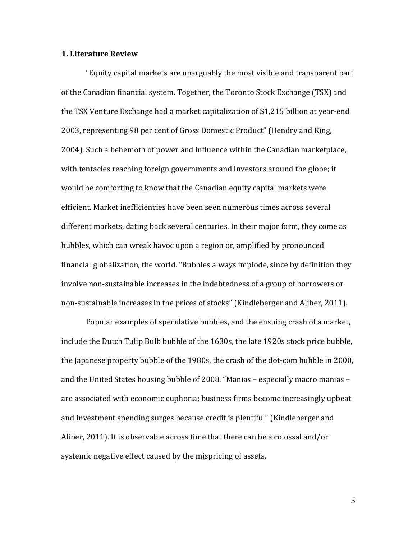#### **1. Literature Review**

"Equity capital markets are unarguably the most visible and transparent part of the Canadian financial system. Together, the Toronto Stock Exchange (TSX) and the TSX Venture Exchange had a market capitalization of \$1,215 billion at year-end 2003, representing 98 per cent of Gross Domestic Product" (Hendry and King, 2004). Such a behemoth of power and influence within the Canadian marketplace, with tentacles reaching foreign governments and investors around the globe; it would be comforting to know that the Canadian equity capital markets were efficient. Market inefficiencies have been seen numerous times across several different markets, dating back several centuries. In their major form, they come as bubbles, which can wreak havoc upon a region or, amplified by pronounced financial globalization, the world. "Bubbles always implode, since by definition they involve non-sustainable increases in the indebtedness of a group of borrowers or non-sustainable increases in the prices of stocks" (Kindleberger and Aliber, 2011).

Popular examples of speculative bubbles, and the ensuing crash of a market, include the Dutch Tulip Bulb bubble of the 1630s, the late 1920s stock price bubble, the Japanese property bubble of the  $1980s$ , the crash of the dot-com bubble in 2000, and the United States housing bubble of 2008. "Manias – especially macro manias – are associated with economic euphoria; business firms become increasingly upbeat and investment spending surges because credit is plentiful" (Kindleberger and Aliber, 2011). It is observable across time that there can be a colossal and/or systemic negative effect caused by the mispricing of assets.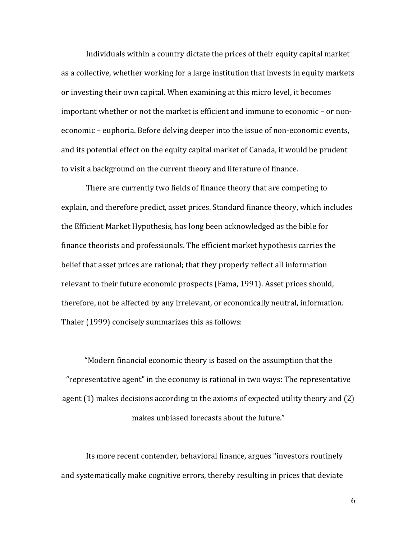Individuals within a country dictate the prices of their equity capital market as a collective, whether working for a large institution that invests in equity markets or investing their own capital. When examining at this micro level, it becomes important whether or not the market is efficient and immune to economic – or noneconomic – euphoria. Before delving deeper into the issue of non-economic events, and its potential effect on the equity capital market of Canada, it would be prudent to visit a background on the current theory and literature of finance.

There are currently two fields of finance theory that are competing to explain, and therefore predict, asset prices. Standard finance theory, which includes the Efficient Market Hypothesis, has long been acknowledged as the bible for finance theorists and professionals. The efficient market hypothesis carries the belief that asset prices are rational; that they properly reflect all information relevant to their future economic prospects (Fama, 1991). Asset prices should, therefore, not be affected by any irrelevant, or economically neutral, information. Thaler (1999) concisely summarizes this as follows:

"Modern financial economic theory is based on the assumption that the "representative agent" in the economy is rational in two ways: The representative agent  $(1)$  makes decisions according to the axioms of expected utility theory and  $(2)$ makes unbiased forecasts about the future."

Its more recent contender, behavioral finance, argues "investors routinely and systematically make cognitive errors, thereby resulting in prices that deviate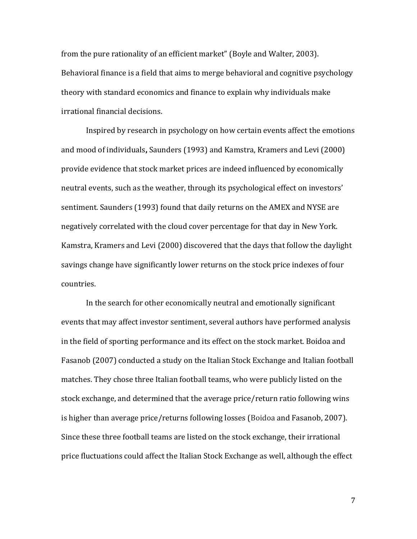from the pure rationality of an efficient market" (Boyle and Walter, 2003). Behavioral finance is a field that aims to merge behavioral and cognitive psychology theory with standard economics and finance to explain why individuals make irrational financial decisions.

Inspired by research in psychology on how certain events affect the emotions and mood of individuals, Saunders (1993) and Kamstra, Kramers and Levi (2000) provide evidence that stock market prices are indeed influenced by economically neutral events, such as the weather, through its psychological effect on investors' sentiment. Saunders (1993) found that daily returns on the AMEX and NYSE are negatively correlated with the cloud cover percentage for that day in New York. Kamstra, Kramers and Levi (2000) discovered that the days that follow the daylight savings change have significantly lower returns on the stock price indexes of four countries. 

In the search for other economically neutral and emotionally significant events that may affect investor sentiment, several authors have performed analysis in the field of sporting performance and its effect on the stock market. Boidoa and Fasanob (2007) conducted a study on the Italian Stock Exchange and Italian football matches. They chose three Italian football teams, who were publicly listed on the stock exchange, and determined that the average price/return ratio following wins is higher than average price/returns following losses (Boidoa and Fasanob, 2007). Since these three football teams are listed on the stock exchange, their irrational price fluctuations could affect the Italian Stock Exchange as well, although the effect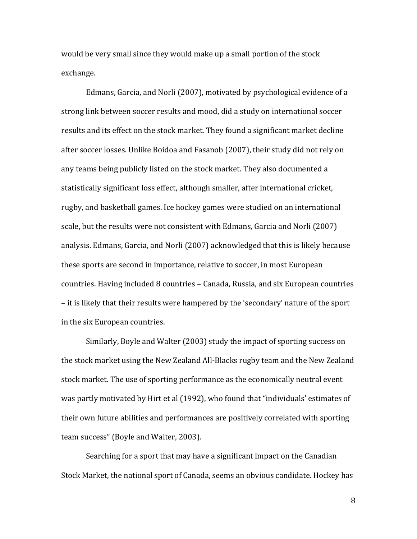would be very small since they would make up a small portion of the stock exchange.

Edmans, Garcia, and Norli (2007), motivated by psychological evidence of a strong link between soccer results and mood, did a study on international soccer results and its effect on the stock market. They found a significant market decline after soccer losses. Unlike Boidoa and Fasanob (2007), their study did not rely on any teams being publicly listed on the stock market. They also documented a statistically significant loss effect, although smaller, after international cricket, rugby, and basketball games. Ice hockey games were studied on an international scale, but the results were not consistent with Edmans, Garcia and Norli (2007) analysis. Edmans, Garcia, and Norli (2007) acknowledged that this is likely because these sports are second in importance, relative to soccer, in most European countries. Having included 8 countries – Canada, Russia, and six European countries – it is likely that their results were hampered by the 'secondary' nature of the sport in the six European countries.

Similarly, Boyle and Walter (2003) study the impact of sporting success on the stock market using the New Zealand All-Blacks rugby team and the New Zealand stock market. The use of sporting performance as the economically neutral event was partly motivated by Hirt et al (1992), who found that "individuals' estimates of their own future abilities and performances are positively correlated with sporting team success" (Boyle and Walter, 2003).

Searching for a sport that may have a significant impact on the Canadian Stock Market, the national sport of Canada, seems an obvious candidate. Hockey has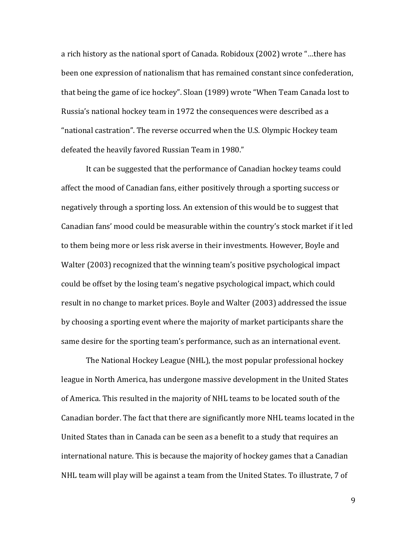a rich history as the national sport of Canada. Robidoux (2002) wrote "...there has been one expression of nationalism that has remained constant since confederation, that being the game of ice hockey". Sloan (1989) wrote "When Team Canada lost to Russia's national hockey team in 1972 the consequences were described as a "national castration". The reverse occurred when the U.S. Olympic Hockey team defeated the heavily favored Russian Team in 1980."

It can be suggested that the performance of Canadian hockey teams could affect the mood of Canadian fans, either positively through a sporting success or negatively through a sporting loss. An extension of this would be to suggest that Canadian fans' mood could be measurable within the country's stock market if it led to them being more or less risk averse in their investments. However, Boyle and Walter (2003) recognized that the winning team's positive psychological impact could be offset by the losing team's negative psychological impact, which could result in no change to market prices. Boyle and Walter (2003) addressed the issue by choosing a sporting event where the majority of market participants share the same desire for the sporting team's performance, such as an international event.

The National Hockey League (NHL), the most popular professional hockey league in North America, has undergone massive development in the United States of America. This resulted in the majority of NHL teams to be located south of the Canadian border. The fact that there are significantly more NHL teams located in the United States than in Canada can be seen as a benefit to a study that requires an international nature. This is because the majority of hockey games that a Canadian NHL team will play will be against a team from the United States. To illustrate, 7 of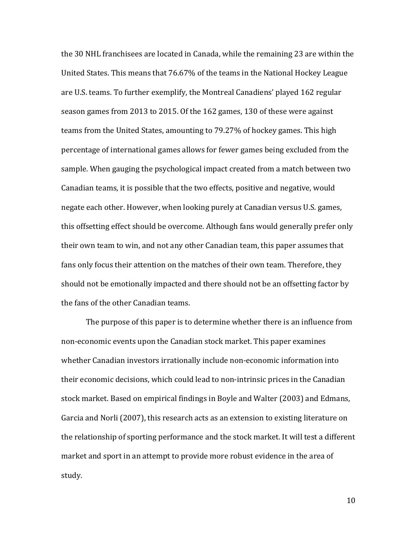the 30 NHL franchisees are located in Canada, while the remaining 23 are within the United States. This means that 76.67% of the teams in the National Hockey League are U.S. teams. To further exemplify, the Montreal Canadiens' played 162 regular season games from 2013 to 2015. Of the 162 games, 130 of these were against teams from the United States, amounting to 79.27% of hockey games. This high percentage of international games allows for fewer games being excluded from the sample. When gauging the psychological impact created from a match between two Canadian teams, it is possible that the two effects, positive and negative, would negate each other. However, when looking purely at Canadian versus U.S. games, this offsetting effect should be overcome. Although fans would generally prefer only their own team to win, and not any other Canadian team, this paper assumes that fans only focus their attention on the matches of their own team. Therefore, they should not be emotionally impacted and there should not be an offsetting factor by the fans of the other Canadian teams.

The purpose of this paper is to determine whether there is an influence from non-economic events upon the Canadian stock market. This paper examines whether Canadian investors irrationally include non-economic information into their economic decisions, which could lead to non-intrinsic prices in the Canadian stock market. Based on empirical findings in Boyle and Walter (2003) and Edmans, Garcia and Norli (2007), this research acts as an extension to existing literature on the relationship of sporting performance and the stock market. It will test a different market and sport in an attempt to provide more robust evidence in the area of study.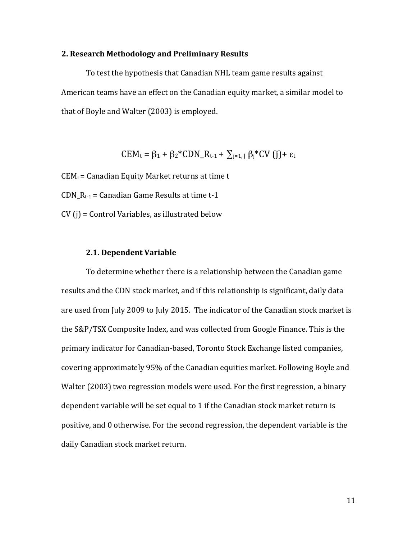#### **2. Research Methodology and Preliminary Results**

To test the hypothesis that Canadian NHL team game results against American teams have an effect on the Canadian equity market, a similar model to that of Boyle and Walter (2003) is employed.

$$
CEM_t = \beta_1 + \beta_2 * CDN_R_{t-1} + \sum_{j=1, J} \beta_j * CV(j) + \epsilon_t
$$

 $CEM_t =$  Canadian Equity Market returns at time t

CDN  $R_{t-1}$  = Canadian Game Results at time t-1

 $CV(i) = Control Variables$ , as illustrated below

#### **2.1. Dependent Variable**

To determine whether there is a relationship between the Canadian game results and the CDN stock market, and if this relationship is significant, daily data are used from July 2009 to July 2015. The indicator of the Canadian stock market is the S&P/TSX Composite Index, and was collected from Google Finance. This is the primary indicator for Canadian-based, Toronto Stock Exchange listed companies, covering approximately 95% of the Canadian equities market. Following Boyle and Walter (2003) two regression models were used. For the first regression, a binary dependent variable will be set equal to 1 if the Canadian stock market return is positive, and 0 otherwise. For the second regression, the dependent variable is the daily Canadian stock market return.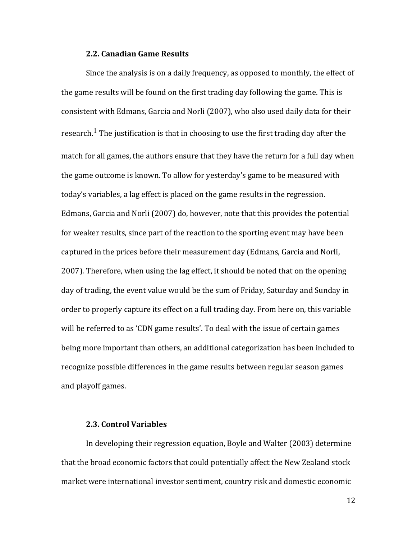#### **2.2. Canadian Game Results**

Since the analysis is on a daily frequency, as opposed to monthly, the effect of the game results will be found on the first trading day following the game. This is consistent with Edmans, Garcia and Norli (2007), who also used daily data for their research.<sup>1</sup> The justification is that in choosing to use the first trading day after the match for all games, the authors ensure that they have the return for a full day when the game outcome is known. To allow for yesterday's game to be measured with today's variables, a lag effect is placed on the game results in the regression. Edmans, Garcia and Norli (2007) do, however, note that this provides the potential for weaker results, since part of the reaction to the sporting event may have been captured in the prices before their measurement day (Edmans, Garcia and Norli, 2007). Therefore, when using the lag effect, it should be noted that on the opening day of trading, the event value would be the sum of Friday, Saturday and Sunday in order to properly capture its effect on a full trading day. From here on, this variable will be referred to as 'CDN game results'. To deal with the issue of certain games being more important than others, an additional categorization has been included to recognize possible differences in the game results between regular season games and playoff games.

### **2.3. Control Variables**

In developing their regression equation, Boyle and Walter (2003) determine that the broad economic factors that could potentially affect the New Zealand stock market were international investor sentiment, country risk and domestic economic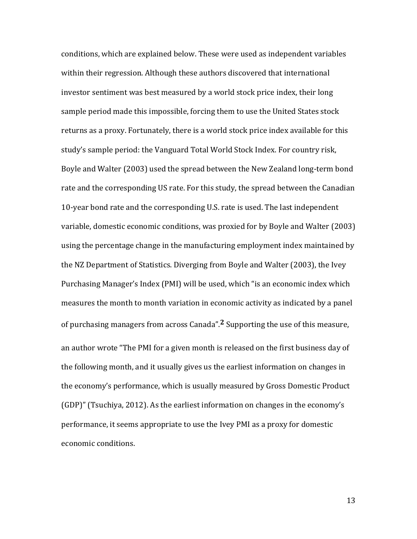conditions, which are explained below. These were used as independent variables within their regression. Although these authors discovered that international investor sentiment was best measured by a world stock price index, their long sample period made this impossible, forcing them to use the United States stock returns as a proxy. Fortunately, there is a world stock price index available for this study's sample period: the Vanguard Total World Stock Index. For country risk, Boyle and Walter (2003) used the spread between the New Zealand long-term bond rate and the corresponding US rate. For this study, the spread between the Canadian 10-year bond rate and the corresponding U.S. rate is used. The last independent variable, domestic economic conditions, was proxied for by Boyle and Walter (2003) using the percentage change in the manufacturing employment index maintained by the NZ Department of Statistics. Diverging from Boyle and Walter (2003), the Ivey Purchasing Manager's Index (PMI) will be used, which "is an economic index which measures the month to month variation in economic activity as indicated by a panel of purchasing managers from across Canada".<sup>2</sup> Supporting the use of this measure, an author wrote "The PMI for a given month is released on the first business day of the following month, and it usually gives us the earliest information on changes in the economy's performance, which is usually measured by Gross Domestic Product  $(GDP)$ " (Tsuchiya, 2012). As the earliest information on changes in the economy's performance, it seems appropriate to use the Ivey PMI as a proxy for domestic economic conditions.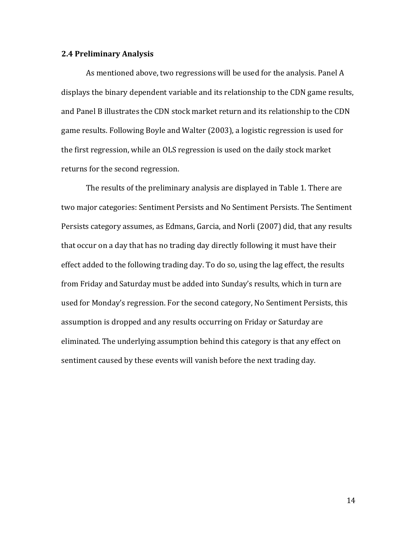#### **2.4 Preliminary Analysis**

As mentioned above, two regressions will be used for the analysis. Panel A displays the binary dependent variable and its relationship to the CDN game results, and Panel B illustrates the CDN stock market return and its relationship to the CDN game results. Following Boyle and Walter (2003), a logistic regression is used for the first regression, while an OLS regression is used on the daily stock market returns for the second regression.

The results of the preliminary analysis are displayed in Table 1. There are two major categories: Sentiment Persists and No Sentiment Persists. The Sentiment Persists category assumes, as Edmans, Garcia, and Norli (2007) did, that any results that occur on a day that has no trading day directly following it must have their effect added to the following trading day. To do so, using the lag effect, the results from Friday and Saturday must be added into Sunday's results, which in turn are used for Monday's regression. For the second category, No Sentiment Persists, this assumption is dropped and any results occurring on Friday or Saturday are eliminated. The underlying assumption behind this category is that any effect on sentiment caused by these events will vanish before the next trading day.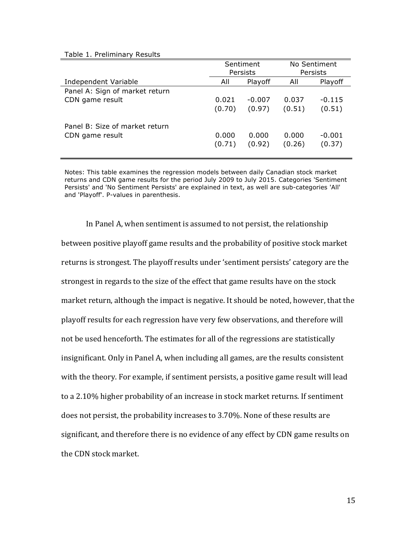#### Table 1. Preliminary Results

|                                | Sentiment       |                 | No Sentiment    |                    |  |
|--------------------------------|-----------------|-----------------|-----------------|--------------------|--|
|                                |                 | Persists        | Persists        |                    |  |
| Independent Variable           | All             | Playoff         | All             | Playoff            |  |
| Panel A: Sign of market return |                 |                 |                 |                    |  |
| CDN game result                | 0.021           | $-0.007$        | 0.037           | $-0.115$           |  |
|                                | (0.70)          | (0.97)          | (0.51)          | (0.51)             |  |
| Panel B: Size of market return |                 |                 |                 |                    |  |
| CDN game result                | 0.000<br>(0.71) | 0.000<br>(0.92) | 0.000<br>(0.26) | $-0.001$<br>(0.37) |  |

Notes: This table examines the regression models between daily Canadian stock market returns and CDN game results for the period July 2009 to July 2015. Categories 'Sentiment Persists' and 'No Sentiment Persists' are explained in text, as well are sub-categories 'All' and 'Playoff'. P-values in parenthesis.

In Panel A, when sentiment is assumed to not persist, the relationship between positive playoff game results and the probability of positive stock market returns is strongest. The playoff results under 'sentiment persists' category are the strongest in regards to the size of the effect that game results have on the stock market return, although the impact is negative. It should be noted, however, that the playoff results for each regression have very few observations, and therefore will not be used henceforth. The estimates for all of the regressions are statistically insignificant. Only in Panel A, when including all games, are the results consistent with the theory. For example, if sentiment persists, a positive game result will lead to a 2.10% higher probability of an increase in stock market returns. If sentiment does not persist, the probability increases to 3.70%. None of these results are significant, and therefore there is no evidence of any effect by CDN game results on the CDN stock market.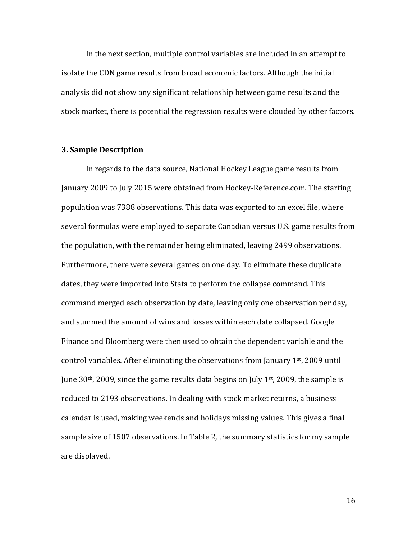In the next section, multiple control variables are included in an attempt to isolate the CDN game results from broad economic factors. Although the initial analysis did not show any significant relationship between game results and the stock market, there is potential the regression results were clouded by other factors.

### **3. Sample Description**

In regards to the data source, National Hockey League game results from January 2009 to July 2015 were obtained from Hockey-Reference.com. The starting population was 7388 observations. This data was exported to an excel file, where several formulas were employed to separate Canadian versus U.S. game results from the population, with the remainder being eliminated, leaving 2499 observations. Furthermore, there were several games on one day. To eliminate these duplicate dates, they were imported into Stata to perform the collapse command. This command merged each observation by date, leaving only one observation per day, and summed the amount of wins and losses within each date collapsed. Google Finance and Bloomberg were then used to obtain the dependent variable and the control variables. After eliminating the observations from January 1<sup>st</sup>, 2009 until June  $30<sup>th</sup>$ , 2009, since the game results data begins on July  $1<sup>st</sup>$ , 2009, the sample is reduced to 2193 observations. In dealing with stock market returns, a business calendar is used, making weekends and holidays missing values. This gives a final sample size of 1507 observations. In Table 2, the summary statistics for my sample are displayed.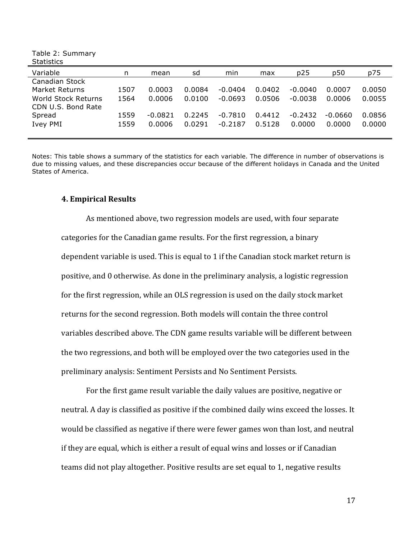Table 2: Summary **Statistics** 

| Variable                                  | n    | mean      | sd     | min       | max    | p25       | p50     | p75    |  |
|-------------------------------------------|------|-----------|--------|-----------|--------|-----------|---------|--------|--|
| Canadian Stock                            |      |           |        |           |        |           |         |        |  |
| Market Returns                            | 1507 | 0.0003    | 0.0084 | $-0.0404$ | 0.0402 | $-0.0040$ | 0.0007  | 0.0050 |  |
| World Stock Returns<br>CDN U.S. Bond Rate | 1564 | 0.0006    | 0.0100 | $-0.0693$ | 0.0506 | $-0.0038$ | 0.0006  | 0.0055 |  |
| Spread                                    | 1559 | $-0.0821$ | 0.2245 | $-0.7810$ | 0.4412 | $-0.2432$ | -0.0660 | 0.0856 |  |
| Ivey PMI                                  | 1559 | 0.0006    | 0.0291 | $-0.2187$ | 0.5128 | 0.0000    | 0.0000  | 0.0000 |  |
|                                           |      |           |        |           |        |           |         |        |  |

Notes: This table shows a summary of the statistics for each variable. The difference in number of observations is due to missing values, and these discrepancies occur because of the different holidays in Canada and the United States of America.

#### **4. Empirical Results**

As mentioned above, two regression models are used, with four separate categories for the Canadian game results. For the first regression, a binary dependent variable is used. This is equal to 1 if the Canadian stock market return is positive, and 0 otherwise. As done in the preliminary analysis, a logistic regression for the first regression, while an OLS regression is used on the daily stock market returns for the second regression. Both models will contain the three control variables described above. The CDN game results variable will be different between the two regressions, and both will be employed over the two categories used in the preliminary analysis: Sentiment Persists and No Sentiment Persists.

For the first game result variable the daily values are positive, negative or neutral. A day is classified as positive if the combined daily wins exceed the losses. It would be classified as negative if there were fewer games won than lost, and neutral if they are equal, which is either a result of equal wins and losses or if Canadian teams did not play altogether. Positive results are set equal to 1, negative results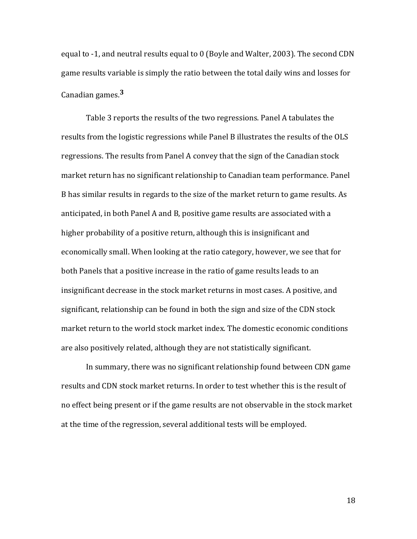equal to  $-1$ , and neutral results equal to 0 (Boyle and Walter, 2003). The second CDN game results variable is simply the ratio between the total daily wins and losses for Canadian games.<sup>3</sup>

Table 3 reports the results of the two regressions. Panel A tabulates the results from the logistic regressions while Panel B illustrates the results of the OLS regressions. The results from Panel A convey that the sign of the Canadian stock market return has no significant relationship to Canadian team performance. Panel B has similar results in regards to the size of the market return to game results. As anticipated, in both Panel A and B, positive game results are associated with a higher probability of a positive return, although this is insignificant and economically small. When looking at the ratio category, however, we see that for both Panels that a positive increase in the ratio of game results leads to an insignificant decrease in the stock market returns in most cases. A positive, and significant, relationship can be found in both the sign and size of the CDN stock market return to the world stock market index. The domestic economic conditions are also positively related, although they are not statistically significant.

In summary, there was no significant relationship found between CDN game results and CDN stock market returns. In order to test whether this is the result of no effect being present or if the game results are not observable in the stock market at the time of the regression, several additional tests will be employed.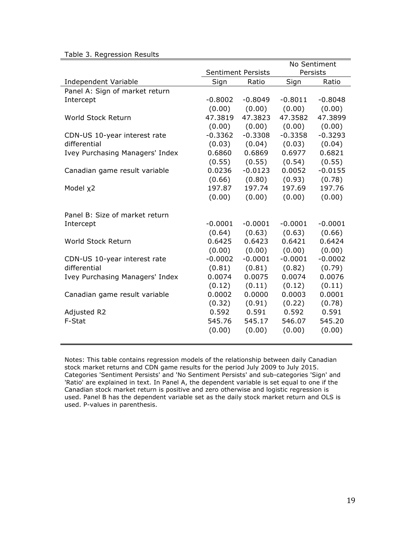| Table 3. Regression Results |  |  |
|-----------------------------|--|--|
|-----------------------------|--|--|

|                                 |                           |           | No Sentiment |           |  |
|---------------------------------|---------------------------|-----------|--------------|-----------|--|
|                                 | <b>Sentiment Persists</b> |           | Persists     |           |  |
| Independent Variable            | Sign                      | Ratio     | Sign         | Ratio     |  |
| Panel A: Sign of market return  |                           |           |              |           |  |
| Intercept                       | $-0.8002$                 | $-0.8049$ | $-0.8011$    | $-0.8048$ |  |
|                                 | (0.00)                    | (0.00)    | (0.00)       | (0.00)    |  |
| World Stock Return              | 47.3819                   | 47.3823   | 47.3582      | 47.3899   |  |
|                                 | (0.00)                    | (0.00)    | (0.00)       | (0.00)    |  |
| CDN-US 10-year interest rate    | $-0.3362$                 | $-0.3308$ | $-0.3358$    | $-0.3293$ |  |
| differential                    | (0.03)                    | (0.04)    | (0.03)       | (0.04)    |  |
| Ivey Purchasing Managers' Index | 0.6860                    | 0.6869    | 0.6977       | 0.6821    |  |
|                                 | (0.55)                    | (0.55)    | (0.54)       | (0.55)    |  |
| Canadian game result variable   | 0.0236                    | $-0.0123$ | 0.0052       | $-0.0155$ |  |
|                                 | (0.66)                    | (0.80)    | (0.93)       | (0.78)    |  |
| Model x2                        | 197.87                    | 197.74    | 197.69       | 197.76    |  |
|                                 | (0.00)                    | (0.00)    | (0.00)       | (0.00)    |  |
| Panel B: Size of market return  |                           |           |              |           |  |
| Intercept                       | $-0.0001$                 | $-0.0001$ | $-0.0001$    | $-0.0001$ |  |
|                                 | (0.64)                    | (0.63)    | (0.63)       | (0.66)    |  |
| World Stock Return              | 0.6425                    | 0.6423    | 0.6421       | 0.6424    |  |
|                                 | (0.00)                    | (0.00)    | (0.00)       | (0.00)    |  |
| CDN-US 10-year interest rate    | $-0.0002$                 | $-0.0001$ | $-0.0001$    | $-0.0002$ |  |
| differential                    | (0.81)                    | (0.81)    | (0.82)       | (0.79)    |  |
| Ivey Purchasing Managers' Index | 0.0074                    | 0.0075    | 0.0074       | 0.0076    |  |
|                                 | (0.12)                    | (0.11)    | (0.12)       | (0.11)    |  |
| Canadian game result variable   | 0.0002                    | 0.0000    | 0.0003       | 0.0001    |  |
|                                 | (0.32)                    | (0.91)    | (0.22)       | (0.78)    |  |
| Adjusted R2                     | 0.592                     | 0.591     | 0.592        | 0.591     |  |
| F-Stat                          | 545.76                    | 545.17    | 546.07       | 545.20    |  |
|                                 | (0.00)                    | (0.00)    | (0.00)       | (0.00)    |  |
|                                 |                           |           |              |           |  |

Notes: This table contains regression models of the relationship between daily Canadian stock market returns and CDN game results for the period July 2009 to July 2015. Categories 'Sentiment Persists' and 'No Sentiment Persists' and sub-categories 'Sign' and 'Ratio' are explained in text. In Panel A, the dependent variable is set equal to one if the Canadian stock market return is positive and zero otherwise and logistic regression is used. Panel B has the dependent variable set as the daily stock market return and OLS is used. P-values in parenthesis.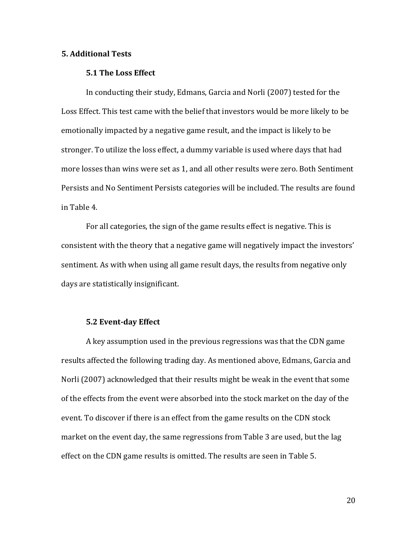#### **5. Additional Tests**

#### **5.1 The Loss Effect**

In conducting their study, Edmans, Garcia and Norli (2007) tested for the Loss Effect. This test came with the belief that investors would be more likely to be emotionally impacted by a negative game result, and the impact is likely to be stronger. To utilize the loss effect, a dummy variable is used where days that had more losses than wins were set as 1, and all other results were zero. Both Sentiment Persists and No Sentiment Persists categories will be included. The results are found in Table 4.

For all categories, the sign of the game results effect is negative. This is consistent with the theory that a negative game will negatively impact the investors' sentiment. As with when using all game result days, the results from negative only days are statistically insignificant.

#### **5.2 Event-day Effect**

A key assumption used in the previous regressions was that the CDN game results affected the following trading day. As mentioned above, Edmans, Garcia and Norli (2007) acknowledged that their results might be weak in the event that some of the effects from the event were absorbed into the stock market on the day of the event. To discover if there is an effect from the game results on the CDN stock market on the event day, the same regressions from Table 3 are used, but the lag effect on the CDN game results is omitted. The results are seen in Table 5.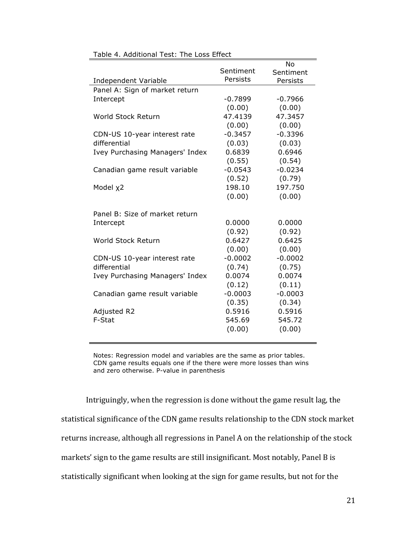|                                 |           | No        |
|---------------------------------|-----------|-----------|
|                                 | Sentiment | Sentiment |
| Independent Variable            | Persists  | Persists  |
| Panel A: Sign of market return  |           |           |
| Intercept                       | $-0.7899$ | $-0.7966$ |
|                                 | (0.00)    | (0.00)    |
| World Stock Return              | 47.4139   | 47.3457   |
|                                 | (0.00)    | (0.00)    |
| CDN-US 10-year interest rate    | $-0.3457$ | $-0.3396$ |
| differential                    | (0.03)    | (0.03)    |
| Ivey Purchasing Managers' Index | 0.6839    | 0.6946    |
|                                 | (0.55)    | (0.54)    |
| Canadian game result variable   | $-0.0543$ | $-0.0234$ |
|                                 | (0.52)    | (0.79)    |
| Model x2                        | 198.10    | 197.750   |
|                                 | (0.00)    | (0.00)    |
|                                 |           |           |
| Panel B: Size of market return  |           |           |
| Intercept                       | 0.0000    | 0.0000    |
|                                 | (0.92)    | (0.92)    |
| World Stock Return              | 0.6427    | 0.6425    |
|                                 | (0.00)    | (0.00)    |
| CDN-US 10-year interest rate    | $-0.0002$ | $-0.0002$ |
| differential                    | (0.74)    | (0.75)    |
| Ivey Purchasing Managers' Index | 0.0074    | 0.0074    |
|                                 | (0.12)    | (0.11)    |
| Canadian game result variable   | $-0.0003$ | $-0.0003$ |
|                                 | (0.35)    | (0.34)    |
| Adjusted R2                     | 0.5916    | 0.5916    |
| F-Stat                          | 545.69    | 545.72    |
|                                 | (0.00)    | (0.00)    |

Table 4. Additional Test: The Loss Effect

Notes: Regression model and variables are the same as prior tables. CDN game results equals one if the there were more losses than wins and zero otherwise. P-value in parenthesis

Intriguingly, when the regression is done without the game result lag, the statistical significance of the CDN game results relationship to the CDN stock market returns increase, although all regressions in Panel A on the relationship of the stock markets' sign to the game results are still insignificant. Most notably, Panel B is statistically significant when looking at the sign for game results, but not for the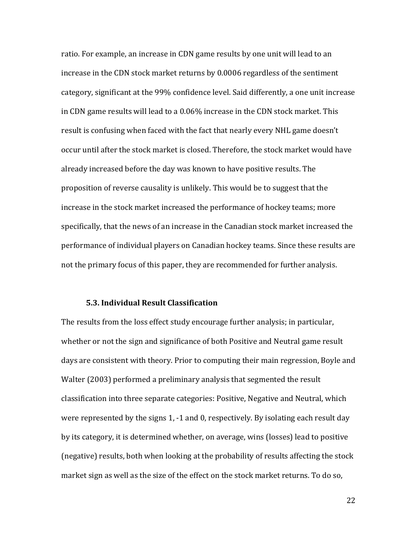ratio. For example, an increase in CDN game results by one unit will lead to an increase in the CDN stock market returns by 0.0006 regardless of the sentiment category, significant at the 99% confidence level. Said differently, a one unit increase in CDN game results will lead to a 0.06% increase in the CDN stock market. This result is confusing when faced with the fact that nearly every NHL game doesn't occur until after the stock market is closed. Therefore, the stock market would have already increased before the day was known to have positive results. The proposition of reverse causality is unlikely. This would be to suggest that the increase in the stock market increased the performance of hockey teams; more specifically, that the news of an increase in the Canadian stock market increased the performance of individual players on Canadian hockey teams. Since these results are not the primary focus of this paper, they are recommended for further analysis.

#### **5.3. Individual Result Classification**

The results from the loss effect study encourage further analysis; in particular, whether or not the sign and significance of both Positive and Neutral game result days are consistent with theory. Prior to computing their main regression, Boyle and Walter (2003) performed a preliminary analysis that segmented the result classification into three separate categories: Positive, Negative and Neutral, which were represented by the signs  $1, -1$  and  $0$ , respectively. By isolating each result day by its category, it is determined whether, on average, wins (losses) lead to positive (negative) results, both when looking at the probability of results affecting the stock market sign as well as the size of the effect on the stock market returns. To do so,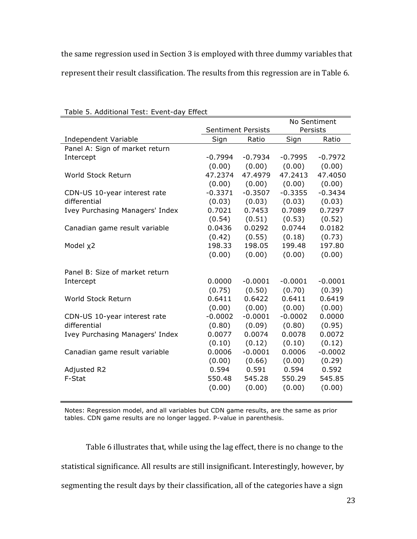the same regression used in Section 3 is employed with three dummy variables that represent their result classification. The results from this regression are in Table 6.

|                                 |                           |           | No Sentiment |           |  |
|---------------------------------|---------------------------|-----------|--------------|-----------|--|
|                                 | <b>Sentiment Persists</b> |           | Persists     |           |  |
| Independent Variable            | Sign                      | Ratio     | Sign         | Ratio     |  |
| Panel A: Sign of market return  |                           |           |              |           |  |
| Intercept                       | $-0.7994$                 | $-0.7934$ | $-0.7995$    | $-0.7972$ |  |
|                                 | (0.00)                    | (0.00)    | (0.00)       | (0.00)    |  |
| World Stock Return              | 47.2374                   | 47.4979   | 47.2413      | 47.4050   |  |
|                                 | (0.00)                    | (0.00)    | (0.00)       | (0.00)    |  |
| CDN-US 10-year interest rate    | $-0.3371$                 | $-0.3507$ | $-0.3355$    | $-0.3434$ |  |
| differential                    | (0.03)                    | (0.03)    | (0.03)       | (0.03)    |  |
| Ivey Purchasing Managers' Index | 0.7021                    | 0.7453    | 0.7089       | 0.7297    |  |
|                                 | (0.54)                    | (0.51)    | (0.53)       | (0.52)    |  |
| Canadian game result variable   | 0.0436                    | 0.0292    | 0.0744       | 0.0182    |  |
|                                 | (0.42)                    | (0.55)    | (0.18)       | (0.73)    |  |
| Model x2                        | 198.33                    | 198.05    | 199.48       | 197.80    |  |
|                                 | (0.00)                    | (0.00)    | (0.00)       | (0.00)    |  |
| Panel B: Size of market return  |                           |           |              |           |  |
| Intercept                       | 0.0000                    | $-0.0001$ | $-0.0001$    | $-0.0001$ |  |
|                                 | (0.75)                    | (0.50)    | (0.70)       | (0.39)    |  |
| World Stock Return              | 0.6411                    | 0.6422    | 0.6411       | 0.6419    |  |
|                                 | (0.00)                    | (0.00)    | (0.00)       | (0.00)    |  |
| CDN-US 10-year interest rate    | $-0.0002$                 | $-0.0001$ | $-0.0002$    | 0.0000    |  |
| differential                    | (0.80)                    | (0.09)    | (0.80)       | (0.95)    |  |
| Ivey Purchasing Managers' Index | 0.0077                    | 0.0074    | 0.0078       | 0.0072    |  |
|                                 | (0.10)                    | (0.12)    | (0.10)       | (0.12)    |  |
| Canadian game result variable   | 0.0006                    | $-0.0001$ | 0.0006       | $-0.0002$ |  |
|                                 | (0.00)                    | (0.66)    | (0.00)       | (0.29)    |  |
| Adjusted R2                     | 0.594                     | 0.591     | 0.594        | 0.592     |  |
| F-Stat                          | 550.48                    | 545.28    | 550.29       | 545.85    |  |
|                                 | (0.00)                    | (0.00)    | (0.00)       | (0.00)    |  |

#### Table 5. Additional Test: Event-day Effect

Notes: Regression model, and all variables but CDN game results, are the same as prior tables. CDN game results are no longer lagged. P-value in parenthesis.

Table 6 illustrates that, while using the lag effect, there is no change to the statistical significance. All results are still insignificant. Interestingly, however, by segmenting the result days by their classification, all of the categories have a sign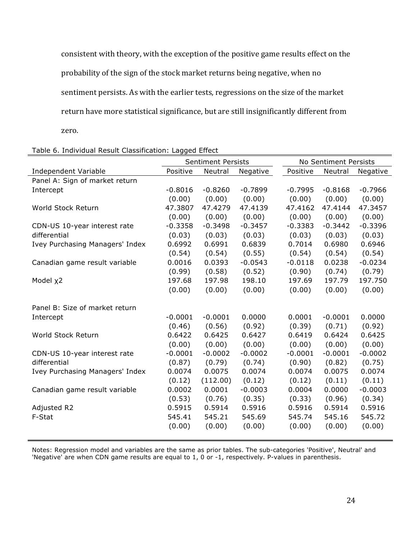consistent with theory, with the exception of the positive game results effect on the probability of the sign of the stock market returns being negative, when no sentiment persists. As with the earlier tests, regressions on the size of the market return have more statistical significance, but are still insignificantly different from zero. 

|                                 | <b>Sentiment Persists</b> |           |           | No Sentiment Persists |           |           |  |
|---------------------------------|---------------------------|-----------|-----------|-----------------------|-----------|-----------|--|
| Independent Variable            | Positive                  | Neutral   | Negative  | Positive              | Neutral   | Negative  |  |
| Panel A: Sign of market return  |                           |           |           |                       |           |           |  |
| Intercept                       | $-0.8016$                 | $-0.8260$ | $-0.7899$ | $-0.7995$             | $-0.8168$ | $-0.7966$ |  |
|                                 | (0.00)                    | (0.00)    | (0.00)    | (0.00)                | (0.00)    | (0.00)    |  |
| World Stock Return              | 47.3807                   | 47.4279   | 47.4139   | 47.4162               | 47.4144   | 47.3457   |  |
|                                 | (0.00)                    | (0.00)    | (0.00)    | (0.00)                | (0.00)    | (0.00)    |  |
| CDN-US 10-year interest rate    | $-0.3358$                 | $-0.3498$ | $-0.3457$ | $-0.3383$             | $-0.3442$ | $-0.3396$ |  |
| differential                    | (0.03)                    | (0.03)    | (0.03)    | (0.03)                | (0.03)    | (0.03)    |  |
| Ivey Purchasing Managers' Index | 0.6992                    | 0.6991    | 0.6839    | 0.7014                | 0.6980    | 0.6946    |  |
|                                 | (0.54)                    | (0.54)    | (0.55)    | (0.54)                | (0.54)    | (0.54)    |  |
| Canadian game result variable   | 0.0016                    | 0.0393    | $-0.0543$ | $-0.0118$             | 0.0238    | $-0.0234$ |  |
|                                 | (0.99)                    | (0.58)    | (0.52)    | (0.90)                | (0.74)    | (0.79)    |  |
| Model x2                        | 197.68                    | 197.98    | 198.10    | 197.69                | 197.79    | 197.750   |  |
|                                 | (0.00)                    | (0.00)    | (0.00)    | (0.00)                | (0.00)    | (0.00)    |  |
| Panel B: Size of market return  |                           |           |           |                       |           |           |  |
| Intercept                       | $-0.0001$                 | $-0.0001$ | 0.0000    | 0.0001                | $-0.0001$ | 0.0000    |  |
|                                 | (0.46)                    | (0.56)    | (0.92)    | (0.39)                | (0.71)    | (0.92)    |  |
| World Stock Return              | 0.6422                    | 0.6425    | 0.6427    | 0.6419                | 0.6424    | 0.6425    |  |
|                                 | (0.00)                    | (0.00)    | (0.00)    | (0.00)                | (0.00)    | (0.00)    |  |
| CDN-US 10-year interest rate    | $-0.0001$                 | $-0.0002$ | $-0.0002$ | $-0.0001$             | $-0.0001$ | $-0.0002$ |  |
| differential                    | (0.87)                    | (0.79)    | (0.74)    | (0.90)                | (0.82)    | (0.75)    |  |
| Ivey Purchasing Managers' Index | 0.0074                    | 0.0075    | 0.0074    | 0.0074                | 0.0075    | 0.0074    |  |
|                                 | (0.12)                    | (112.00)  | (0.12)    | (0.12)                | (0.11)    | (0.11)    |  |
| Canadian game result variable   | 0.0002                    | 0.0001    | $-0.0003$ | 0.0004                | 0.0000    | $-0.0003$ |  |
|                                 | (0.53)                    | (0.76)    | (0.35)    | (0.33)                | (0.96)    | (0.34)    |  |
| Adjusted R2                     | 0.5915                    | 0.5914    | 0.5916    | 0.5916                | 0.5914    | 0.5916    |  |
| F-Stat                          | 545.41                    | 545.21    | 545.69    | 545.74                | 545.16    | 545.72    |  |
|                                 | (0.00)                    | (0.00)    | (0.00)    | (0.00)                | (0.00)    | (0.00)    |  |
|                                 |                           |           |           |                       |           |           |  |

Table 6. Individual Result Classification: Lagged Effect

l,

Notes: Regression model and variables are the same as prior tables. The sub-categories 'Positive', Neutral' and 'Negative' are when CDN game results are equal to 1, 0 or -1, respectively. P-values in parenthesis.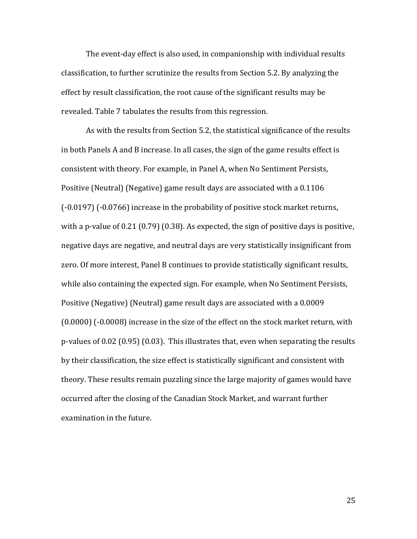The event-day effect is also used, in companionship with individual results classification, to further scrutinize the results from Section 5.2. By analyzing the effect by result classification, the root cause of the significant results may be revealed. Table 7 tabulates the results from this regression.

As with the results from Section 5.2, the statistical significance of the results in both Panels A and B increase. In all cases, the sign of the game results effect is consistent with theory. For example, in Panel A, when No Sentiment Persists, Positive (Neutral) (Negative) game result days are associated with a 0.1106  $(-0.0197)$   $(-0.0766)$  increase in the probability of positive stock market returns, with a p-value of  $0.21\,(0.79)\,(0.38)$ . As expected, the sign of positive days is positive, negative days are negative, and neutral days are very statistically insignificant from zero. Of more interest, Panel B continues to provide statistically significant results, while also containing the expected sign. For example, when No Sentiment Persists, Positive (Negative) (Neutral) game result days are associated with a 0.0009  $(0.0000)$   $(-0.0008)$  increase in the size of the effect on the stock market return, with p-values of 0.02  $(0.95)$   $(0.03)$ . This illustrates that, even when separating the results by their classification, the size effect is statistically significant and consistent with theory. These results remain puzzling since the large majority of games would have occurred after the closing of the Canadian Stock Market, and warrant further examination in the future.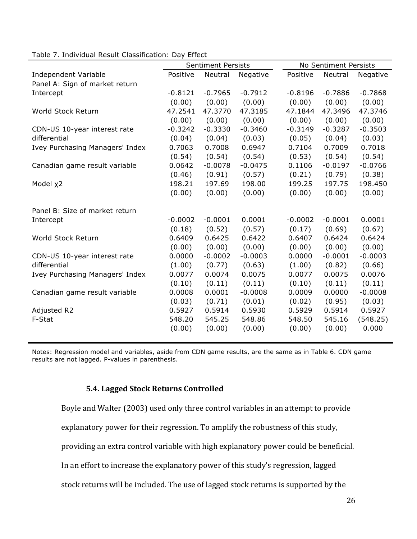|                                 | <b>Sentiment Persists</b> |           |           | No Sentiment Persists |           |           |
|---------------------------------|---------------------------|-----------|-----------|-----------------------|-----------|-----------|
| <b>Independent Variable</b>     | Positive                  | Neutral   | Negative  | Positive              | Neutral   | Negative  |
| Panel A: Sign of market return  |                           |           |           |                       |           |           |
| Intercept                       | $-0.8121$                 | $-0.7965$ | $-0.7912$ | $-0.8196$             | $-0.7886$ | $-0.7868$ |
|                                 | (0.00)                    | (0.00)    | (0.00)    | (0.00)                | (0.00)    | (0.00)    |
| World Stock Return              | 47.2541                   | 47.3770   | 47.3185   | 47.1844               | 47.3496   | 47.3746   |
|                                 | (0.00)                    | (0.00)    | (0.00)    | (0.00)                | (0.00)    | (0.00)    |
| CDN-US 10-year interest rate    | $-0.3242$                 | $-0.3330$ | $-0.3460$ | $-0.3149$             | $-0.3287$ | $-0.3503$ |
| differential                    | (0.04)                    | (0.04)    | (0.03)    | (0.05)                | (0.04)    | (0.03)    |
| Ivey Purchasing Managers' Index | 0.7063                    | 0.7008    | 0.6947    | 0.7104                | 0.7009    | 0.7018    |
|                                 | (0.54)                    | (0.54)    | (0.54)    | (0.53)                | (0.54)    | (0.54)    |
| Canadian game result variable   | 0.0642                    | $-0.0078$ | $-0.0475$ | 0.1106                | $-0.0197$ | $-0.0766$ |
|                                 | (0.46)                    | (0.91)    | (0.57)    | (0.21)                | (0.79)    | (0.38)    |
| Model x2                        | 198.21                    | 197.69    | 198.00    | 199.25                | 197.75    | 198.450   |
|                                 | (0.00)                    | (0.00)    | (0.00)    | (0.00)                | (0.00)    | (0.00)    |
| Panel B: Size of market return  |                           |           |           |                       |           |           |
| Intercept                       | $-0.0002$                 | $-0.0001$ | 0.0001    | $-0.0002$             | $-0.0001$ | 0.0001    |
|                                 | (0.18)                    | (0.52)    | (0.57)    | (0.17)                | (0.69)    | (0.67)    |
| World Stock Return              | 0.6409                    | 0.6425    | 0.6422    | 0.6407                | 0.6424    | 0.6424    |
|                                 | (0.00)                    | (0.00)    | (0.00)    | (0.00)                | (0.00)    | (0.00)    |
| CDN-US 10-year interest rate    | 0.0000                    | $-0.0002$ | $-0.0003$ | 0.0000                | $-0.0001$ | $-0.0003$ |
| differential                    | (1.00)                    | (0.77)    | (0.63)    | (1.00)                | (0.82)    | (0.66)    |
| Ivey Purchasing Managers' Index | 0.0077                    | 0.0074    | 0.0075    | 0.0077                | 0.0075    | 0.0076    |
|                                 | (0.10)                    | (0.11)    | (0.11)    | (0.10)                | (0.11)    | (0.11)    |
| Canadian game result variable   | 0.0008                    | 0.0001    | $-0.0008$ | 0.0009                | 0.0000    | $-0.0008$ |
|                                 | (0.03)                    | (0.71)    | (0.01)    | (0.02)                | (0.95)    | (0.03)    |
| Adjusted R2                     | 0.5927                    | 0.5914    | 0.5930    | 0.5929                | 0.5914    | 0.5927    |
| F-Stat                          | 548.20                    | 545.25    | 548.86    | 548.50                | 545.16    | (548.25)  |
|                                 | (0.00)                    | (0.00)    | (0.00)    | (0.00)                | (0.00)    | 0.000     |
|                                 |                           |           |           |                       |           |           |

Table 7. Individual Result Classification: Day Effect

Notes: Regression model and variables, aside from CDN game results, are the same as in Table 6. CDN game results are not lagged. P-values in parenthesis.

## **5.4. Lagged Stock Returns Controlled**

Boyle and Walter (2003) used only three control variables in an attempt to provide

explanatory power for their regression. To amplify the robustness of this study,

providing an extra control variable with high explanatory power could be beneficial.

In an effort to increase the explanatory power of this study's regression, lagged

stock returns will be included. The use of lagged stock returns is supported by the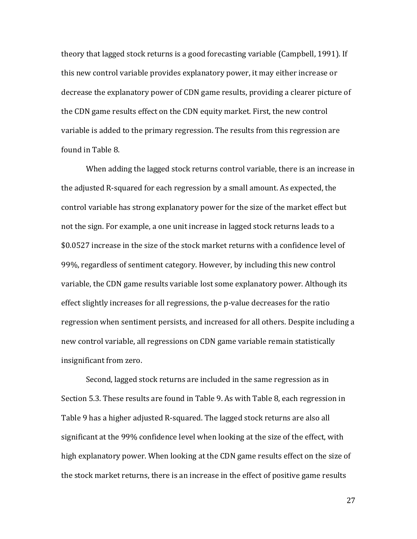theory that lagged stock returns is a good forecasting variable (Campbell, 1991). If this new control variable provides explanatory power, it may either increase or decrease the explanatory power of CDN game results, providing a clearer picture of the CDN game results effect on the CDN equity market. First, the new control variable is added to the primary regression. The results from this regression are found in Table 8.

When adding the lagged stock returns control variable, there is an increase in the adjusted R-squared for each regression by a small amount. As expected, the control variable has strong explanatory power for the size of the market effect but not the sign. For example, a one unit increase in lagged stock returns leads to a \$0.0527 increase in the size of the stock market returns with a confidence level of 99%, regardless of sentiment category. However, by including this new control variable, the CDN game results variable lost some explanatory power. Although its effect slightly increases for all regressions, the p-value decreases for the ratio regression when sentiment persists, and increased for all others. Despite including a new control variable, all regressions on CDN game variable remain statistically insignificant from zero.

Second, lagged stock returns are included in the same regression as in Section 5.3. These results are found in Table 9. As with Table 8, each regression in Table 9 has a higher adjusted R-squared. The lagged stock returns are also all significant at the 99% confidence level when looking at the size of the effect, with high explanatory power. When looking at the CDN game results effect on the size of the stock market returns, there is an increase in the effect of positive game results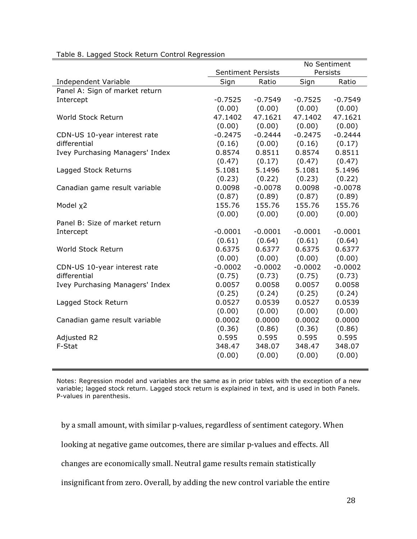|                                 |                       |                           | No Sentiment |           |  |
|---------------------------------|-----------------------|---------------------------|--------------|-----------|--|
|                                 |                       | <b>Sentiment Persists</b> | Persists     |           |  |
| Independent Variable            | Sign<br>Ratio<br>Sign |                           |              | Ratio     |  |
| Panel A: Sign of market return  |                       |                           |              |           |  |
| Intercept                       | $-0.7525$             | $-0.7549$                 | $-0.7525$    | $-0.7549$ |  |
|                                 | (0.00)                | (0.00)                    | (0.00)       | (0.00)    |  |
| World Stock Return              | 47.1402               | 47.1621                   | 47.1402      | 47.1621   |  |
|                                 | (0.00)                | (0.00)                    | (0.00)       | (0.00)    |  |
| CDN-US 10-year interest rate    | $-0.2475$             | $-0.2444$                 | $-0.2475$    | $-0.2444$ |  |
| differential                    | (0.16)                | (0.00)                    | (0.16)       | (0.17)    |  |
| Ivey Purchasing Managers' Index | 0.8574                | 0.8511                    | 0.8574       | 0.8511    |  |
|                                 | (0.47)                | (0.17)                    | (0.47)       | (0.47)    |  |
| Lagged Stock Returns            | 5.1081                | 5.1496                    | 5.1081       | 5.1496    |  |
|                                 | (0.23)                | (0.22)                    | (0.23)       | (0.22)    |  |
| Canadian game result variable   | 0.0098                | $-0.0078$                 | 0.0098       | $-0.0078$ |  |
|                                 | (0.87)                | (0.89)                    | (0.87)       | (0.89)    |  |
| Model x2                        | 155.76                | 155.76                    | 155.76       | 155.76    |  |
|                                 | (0.00)                | (0.00)                    | (0.00)       | (0.00)    |  |
| Panel B: Size of market return  |                       |                           |              |           |  |
| Intercept                       | $-0.0001$             | $-0.0001$                 | $-0.0001$    | $-0.0001$ |  |
|                                 | (0.61)                | (0.64)                    | (0.61)       | (0.64)    |  |
| World Stock Return              | 0.6375                | 0.6377                    | 0.6375       | 0.6377    |  |
|                                 | (0.00)                | (0.00)                    | (0.00)       | (0.00)    |  |
| CDN-US 10-year interest rate    | $-0.0002$             | $-0.0002$                 | $-0.0002$    | $-0.0002$ |  |
| differential                    | (0.75)                | (0.73)                    | (0.75)       | (0.73)    |  |
| Ivey Purchasing Managers' Index | 0.0057                | 0.0058                    | 0.0057       | 0.0058    |  |
|                                 | (0.25)                | (0.24)                    | (0.25)       | (0.24)    |  |
| Lagged Stock Return             | 0.0527                | 0.0539                    | 0.0527       | 0.0539    |  |
|                                 | (0.00)                | (0.00)                    | (0.00)       | (0.00)    |  |
| Canadian game result variable   | 0.0002                | 0.0000                    | 0.0002       | 0.0000    |  |
|                                 | (0.36)                | (0.86)                    | (0.36)       | (0.86)    |  |
| Adjusted R2                     | 0.595                 | 0.595                     | 0.595        | 0.595     |  |
| F-Stat                          | 348.47                | 348.07                    | 348.47       | 348.07    |  |
|                                 | (0.00)                | (0.00)                    | (0.00)       | (0.00)    |  |
|                                 |                       |                           |              |           |  |

## Table 8. Lagged Stock Return Control Regression

Notes: Regression model and variables are the same as in prior tables with the exception of a new variable; lagged stock return. Lagged stock return is explained in text, and is used in both Panels. P-values in parenthesis.

by a small amount, with similar p-values, regardless of sentiment category. When

looking at negative game outcomes, there are similar p-values and effects. All

changes are economically small. Neutral game results remain statistically

insignificant from zero. Overall, by adding the new control variable the entire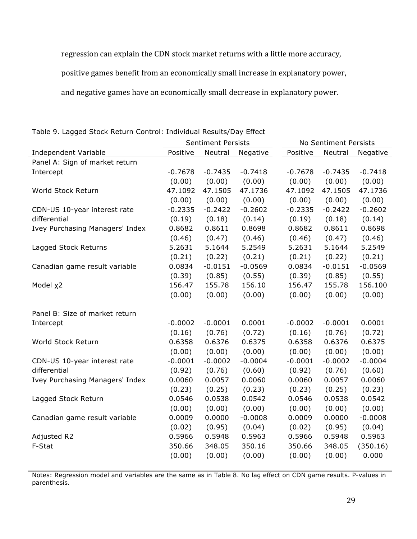regression can explain the CDN stock market returns with a little more accuracy,

positive games benefit from an economically small increase in explanatory power,

and negative games have an economically small decrease in explanatory power.

| sa Stock Retaill Collt. Sir marriagai Resaltoj Ba j |                     | <b>Sentiment Persists</b> |                     |                     | No Sentiment Persists |                     |  |  |
|-----------------------------------------------------|---------------------|---------------------------|---------------------|---------------------|-----------------------|---------------------|--|--|
| Independent Variable                                | Positive            | Neutral                   | Negative            | Positive            | Neutral               | Negative            |  |  |
| Panel A: Sign of market return                      |                     |                           |                     |                     |                       |                     |  |  |
| Intercept                                           | $-0.7678$           | $-0.7435$                 | $-0.7418$           | $-0.7678$           | $-0.7435$             | $-0.7418$           |  |  |
|                                                     | (0.00)              | (0.00)                    | (0.00)              | (0.00)              | (0.00)                | (0.00)              |  |  |
| World Stock Return                                  | 47.1092             | 47.1505                   | 47.1736             | 47.1092             | 47.1505               | 47.1736             |  |  |
|                                                     | (0.00)              | (0.00)                    | (0.00)              | (0.00)              | (0.00)                | (0.00)              |  |  |
| CDN-US 10-year interest rate                        | $-0.2335$           | $-0.2422$                 | $-0.2602$           | $-0.2335$           | $-0.2422$             | $-0.2602$           |  |  |
| differential                                        | (0.19)              | (0.18)                    | (0.14)              | (0.19)              | (0.18)                | (0.14)              |  |  |
| Ivey Purchasing Managers' Index                     | 0.8682              | 0.8611                    | 0.8698              | 0.8682              | 0.8611                | 0.8698              |  |  |
|                                                     | (0.46)              | (0.47)                    | (0.46)              | (0.46)              | (0.47)                | (0.46)              |  |  |
| Lagged Stock Returns                                | 5.2631              | 5.1644                    | 5.2549              | 5.2631              | 5.1644                | 5.2549              |  |  |
|                                                     | (0.21)              | (0.22)                    | (0.21)              | (0.21)              | (0.22)                | (0.21)              |  |  |
| Canadian game result variable                       | 0.0834              | $-0.0151$                 | $-0.0569$           | 0.0834              | $-0.0151$             | $-0.0569$           |  |  |
|                                                     | (0.39)              | (0.85)                    | (0.55)              | (0.39)              | (0.85)                | (0.55)              |  |  |
| Model x2                                            | 156.47              | 155.78                    | 156.10              | 156.47              | 155.78                | 156.100             |  |  |
|                                                     | (0.00)              | (0.00)                    | (0.00)              | (0.00)              | (0.00)                | (0.00)              |  |  |
|                                                     |                     |                           |                     |                     |                       |                     |  |  |
| Panel B: Size of market return                      |                     |                           |                     |                     |                       |                     |  |  |
| Intercept                                           | $-0.0002$           | $-0.0001$                 | 0.0001              | $-0.0002$           | $-0.0001$             | 0.0001              |  |  |
|                                                     | (0.16)              | (0.76)                    | (0.72)              | (0.16)              | (0.76)                | (0.72)              |  |  |
| World Stock Return                                  | 0.6358              | 0.6376                    | 0.6375              | 0.6358              | 0.6376                | 0.6375              |  |  |
|                                                     | (0.00)<br>$-0.0001$ | (0.00)<br>$-0.0002$       | (0.00)<br>$-0.0004$ | (0.00)<br>$-0.0001$ | (0.00)<br>$-0.0002$   | (0.00)<br>$-0.0004$ |  |  |
| CDN-US 10-year interest rate<br>differential        | (0.92)              | (0.76)                    | (0.60)              | (0.92)              | (0.76)                | (0.60)              |  |  |
| Ivey Purchasing Managers' Index                     | 0.0060              | 0.0057                    | 0.0060              | 0.0060              | 0.0057                | 0.0060              |  |  |
|                                                     |                     | (0.25)                    | (0.23)              |                     | (0.25)                | (0.23)              |  |  |
|                                                     | (0.23)<br>0.0546    | 0.0538                    | 0.0542              | (0.23)<br>0.0546    | 0.0538                | 0.0542              |  |  |
| Lagged Stock Return                                 | (0.00)              | (0.00)                    | (0.00)              | (0.00)              | (0.00)                | (0.00)              |  |  |
| Canadian game result variable                       | 0.0009              | 0.0000                    | $-0.0008$           | 0.0009              | 0.0000                | $-0.0008$           |  |  |
|                                                     | (0.02)              | (0.95)                    | (0.04)              | (0.02)              | (0.95)                | (0.04)              |  |  |
| Adjusted R2                                         | 0.5966              | 0.5948                    | 0.5963              | 0.5966              | 0.5948                | 0.5963              |  |  |
| F-Stat                                              | 350.66              | 348.05                    | 350.16              | 350.66              | 348.05                | (350.16)            |  |  |
|                                                     | (0.00)              | (0.00)                    | (0.00)              | (0.00)              | (0.00)                | 0.000               |  |  |
|                                                     |                     |                           |                     |                     |                       |                     |  |  |

Table 9. Lagged Stock Return Control: Individual Results/Day Effect

Notes: Regression model and variables are the same as in Table 8. No lag effect on CDN game results. P-values in parenthesis.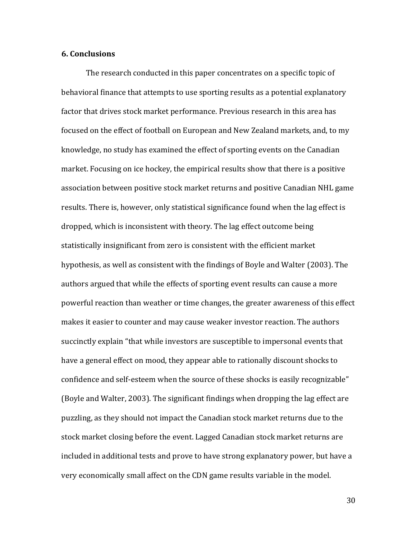#### **6. Conclusions**

The research conducted in this paper concentrates on a specific topic of behavioral finance that attempts to use sporting results as a potential explanatory factor that drives stock market performance. Previous research in this area has focused on the effect of football on European and New Zealand markets, and, to my knowledge, no study has examined the effect of sporting events on the Canadian market. Focusing on ice hockey, the empirical results show that there is a positive association between positive stock market returns and positive Canadian NHL game results. There is, however, only statistical significance found when the lag effect is dropped, which is inconsistent with theory. The lag effect outcome being statistically insignificant from zero is consistent with the efficient market hypothesis, as well as consistent with the findings of Boyle and Walter (2003). The authors argued that while the effects of sporting event results can cause a more powerful reaction than weather or time changes, the greater awareness of this effect makes it easier to counter and may cause weaker investor reaction. The authors succinctly explain "that while investors are susceptible to impersonal events that have a general effect on mood, they appear able to rationally discount shocks to confidence and self-esteem when the source of these shocks is easily recognizable" (Boyle and Walter, 2003). The significant findings when dropping the lag effect are puzzling, as they should not impact the Canadian stock market returns due to the stock market closing before the event. Lagged Canadian stock market returns are included in additional tests and prove to have strong explanatory power, but have a very economically small affect on the CDN game results variable in the model.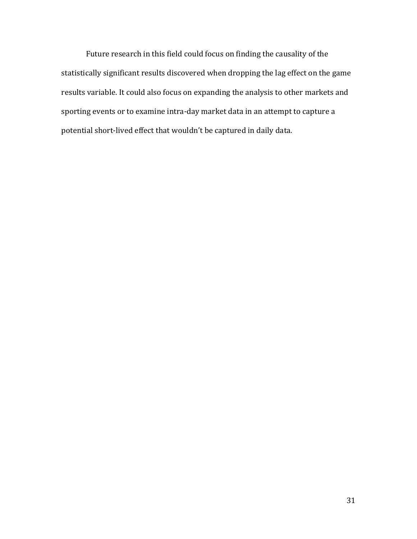Future research in this field could focus on finding the causality of the statistically significant results discovered when dropping the lag effect on the game results variable. It could also focus on expanding the analysis to other markets and sporting events or to examine intra-day market data in an attempt to capture a potential short-lived effect that wouldn't be captured in daily data.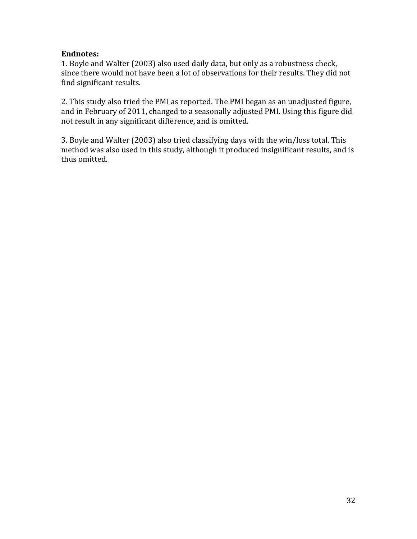## **Endnotes:**

1. Boyle and Walter (2003) also used daily data, but only as a robustness check, since there would not have been a lot of observations for their results. They did not find significant results.

2. This study also tried the PMI as reported. The PMI began as an unadjusted figure, and in February of 2011, changed to a seasonally adjusted PMI. Using this figure did not result in any significant difference, and is omitted.

3. Boyle and Walter (2003) also tried classifying days with the win/loss total. This method was also used in this study, although it produced insignificant results, and is thus omitted.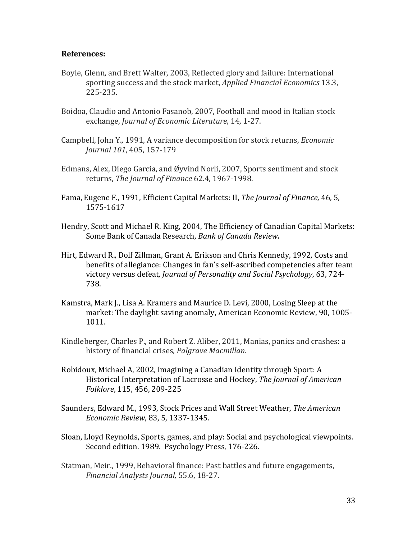### **References:**

- Boyle, Glenn, and Brett Walter, 2003, Reflected glory and failure: International sporting success and the stock market, *Applied Financial Economics* 13.3, 225-235.
- Boidoa, Claudio and Antonio Fasanob, 2007, Football and mood in Italian stock exchange, *Journal of Economic Literature*, 14, 1-27.
- Campbell, John Y., 1991, A variance decomposition for stock returns, *Economic Journal* 101, 405, 157-179
- Edmans, Alex, Diego Garcia, and Øyvind Norli, 2007, Sports sentiment and stock returns, *The Journal of Finance* 62.4, 1967-1998.
- Fama, Eugene F., 1991, Efficient Capital Markets: II, *The Journal of Finance*, 46, 5, 1575-1617
- Hendry, Scott and Michael R. King, 2004, The Efficiency of Canadian Capital Markets: Some Bank of Canada Research, Bank of Canada Review.
- Hirt, Edward R., Dolf Zillman, Grant A. Erikson and Chris Kennedy, 1992, Costs and benefits of allegiance: Changes in fan's self-ascribed competencies after team victory versus defeat, *Journal of Personality and Social Psychology*, 63, 724- 738.
- Kamstra, Mark J., Lisa A. Kramers and Maurice D. Levi, 2000, Losing Sleep at the market: The daylight saving anomaly, American Economic Review, 90, 1005-1011.
- Kindleberger, Charles P., and Robert Z. Aliber, 2011, Manias, panics and crashes: a history of financial crises, *Palgrave Macmillan*.
- Robidoux, Michael A, 2002, Imagining a Canadian Identity through Sport: A Historical Interpretation of Lacrosse and Hockey, *The Journal of American Folklore*, 115, 456, 209-225
- Saunders, Edward M., 1993, Stock Prices and Wall Street Weather, *The American Economic Review*, 83, 5, 1337-1345.
- Sloan, Lloyd Reynolds, Sports, games, and play: Social and psychological viewpoints. Second edition. 1989. Psychology Press, 176-226.
- Statman, Meir., 1999, Behavioral finance: Past battles and future engagements, *Financial Analysts Journal,* 55.6, 18-27.